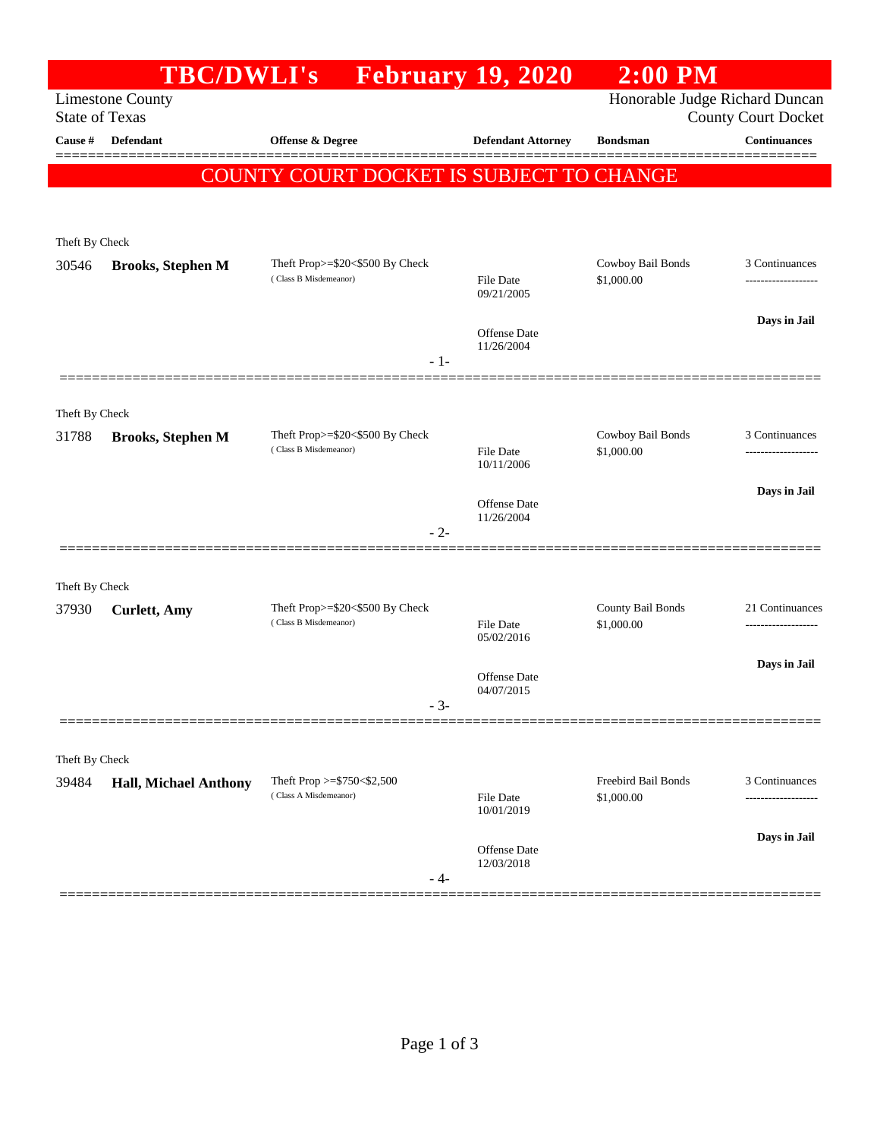|                       | <b>TBC/DWLI's</b>            |                                                              | <b>February 19, 2020</b>          | $2:00$ PM                         |                     |
|-----------------------|------------------------------|--------------------------------------------------------------|-----------------------------------|-----------------------------------|---------------------|
| <b>State of Texas</b> | <b>Limestone County</b>      | Honorable Judge Richard Duncan<br><b>County Court Docket</b> |                                   |                                   |                     |
| Cause #               | <b>Defendant</b>             | <b>Offense &amp; Degree</b>                                  | <b>Defendant Attorney</b>         | <b>Bondsman</b>                   | <b>Continuances</b> |
|                       |                              | COUNTY COURT DOCKET IS SUBJECT TO CHANGE                     |                                   |                                   |                     |
|                       |                              |                                                              |                                   |                                   |                     |
| Theft By Check        |                              |                                                              |                                   |                                   |                     |
| 30546                 | <b>Brooks, Stephen M</b>     | Theft Prop>=\$20<\$500 By Check<br>(Class B Misdemeanor)     | <b>File Date</b>                  | Cowboy Bail Bonds<br>\$1,000.00   | 3 Continuances      |
|                       |                              |                                                              | 09/21/2005                        |                                   |                     |
|                       |                              |                                                              | Offense Date                      |                                   | Days in Jail        |
|                       |                              | $-1-$                                                        | 11/26/2004                        |                                   |                     |
|                       |                              |                                                              |                                   |                                   |                     |
| Theft By Check        |                              |                                                              |                                   |                                   |                     |
| 31788                 | <b>Brooks, Stephen M</b>     | Theft Prop>=\$20<\$500 By Check<br>(Class B Misdemeanor)     | <b>File Date</b><br>10/11/2006    | Cowboy Bail Bonds<br>\$1,000.00   | 3 Continuances      |
|                       |                              |                                                              |                                   |                                   | Days in Jail        |
|                       |                              |                                                              | <b>Offense</b> Date<br>11/26/2004 |                                   |                     |
|                       |                              | $-2-$                                                        |                                   |                                   |                     |
| Theft By Check        |                              |                                                              |                                   |                                   |                     |
| 37930                 | <b>Curlett</b> , Amy         | Theft Prop>=\$20<\$500 By Check<br>(Class B Misdemeanor)     |                                   | County Bail Bonds                 | 21 Continuances     |
|                       |                              |                                                              | <b>File Date</b><br>05/02/2016    | \$1,000.00                        | ------------------- |
|                       |                              |                                                              | <b>Offense Date</b>               |                                   | Days in Jail        |
|                       |                              | $-3-$                                                        | 04/07/2015                        |                                   |                     |
|                       |                              |                                                              |                                   |                                   |                     |
| Theft By Check        |                              |                                                              |                                   |                                   |                     |
| 39484                 | <b>Hall, Michael Anthony</b> | Theft Prop >= $$750<$2,500$<br>(Class A Misdemeanor)         | File Date                         | Freebird Bail Bonds<br>\$1,000.00 | 3 Continuances      |
|                       |                              |                                                              | 10/01/2019                        |                                   | Days in Jail        |
|                       |                              |                                                              | Offense Date<br>12/03/2018        |                                   |                     |
|                       |                              | - 4-                                                         |                                   |                                   |                     |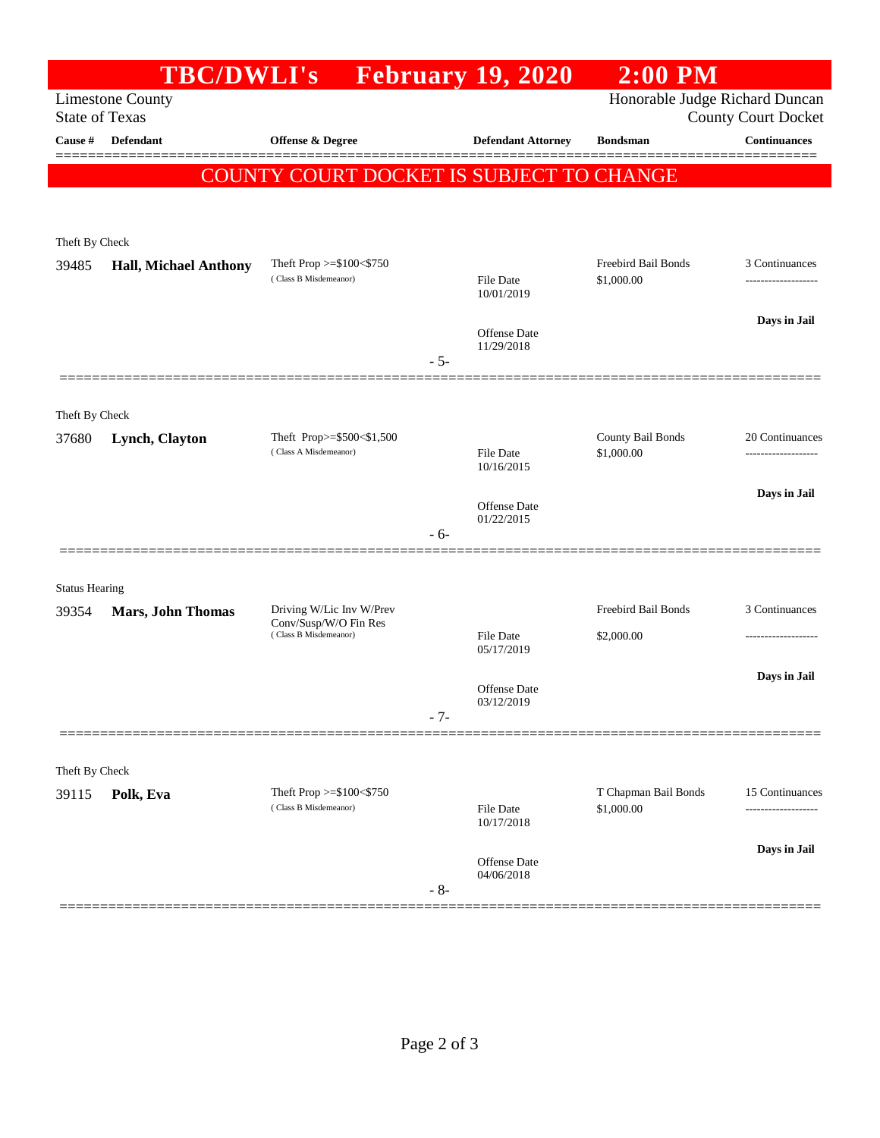|                                                                                    | <b>TBC/DWLI's</b>            |                                                                            | <b>February 19, 2020</b>   | $2:00$ PM                         |                                                   |  |
|------------------------------------------------------------------------------------|------------------------------|----------------------------------------------------------------------------|----------------------------|-----------------------------------|---------------------------------------------------|--|
| Honorable Judge Richard Duncan<br><b>Limestone County</b><br><b>State of Texas</b> |                              |                                                                            |                            |                                   |                                                   |  |
| Cause #                                                                            | <b>Defendant</b>             | <b>Offense &amp; Degree</b>                                                | <b>Defendant Attorney</b>  | <b>Bondsman</b>                   | <b>County Court Docket</b><br><b>Continuances</b> |  |
|                                                                                    |                              |                                                                            |                            |                                   |                                                   |  |
|                                                                                    |                              | COUNTY COURT DOCKET IS SUBJECT TO CHANGE                                   |                            |                                   |                                                   |  |
|                                                                                    |                              |                                                                            |                            |                                   |                                                   |  |
| Theft By Check                                                                     |                              |                                                                            |                            |                                   |                                                   |  |
| 39485                                                                              | <b>Hall, Michael Anthony</b> | Theft Prop $>=\$100<\$750$<br>(Class B Misdemeanor)                        | <b>File Date</b>           | Freebird Bail Bonds<br>\$1,000.00 | 3 Continuances<br>------------------              |  |
|                                                                                    |                              |                                                                            | 10/01/2019                 |                                   |                                                   |  |
|                                                                                    |                              |                                                                            | <b>Offense</b> Date        |                                   | Days in Jail                                      |  |
|                                                                                    |                              |                                                                            | 11/29/2018<br>$-5-$        |                                   |                                                   |  |
|                                                                                    |                              |                                                                            |                            |                                   |                                                   |  |
| Theft By Check                                                                     |                              |                                                                            |                            |                                   |                                                   |  |
| 37680                                                                              | Lynch, Clayton               | Theft Prop>=\$500<\$1,500                                                  |                            | County Bail Bonds                 | 20 Continuances                                   |  |
|                                                                                    |                              | (Class A Misdemeanor)                                                      | File Date<br>10/16/2015    | \$1,000.00                        | .                                                 |  |
|                                                                                    |                              |                                                                            |                            |                                   | Days in Jail                                      |  |
|                                                                                    |                              |                                                                            | Offense Date<br>01/22/2015 |                                   |                                                   |  |
|                                                                                    |                              |                                                                            | - 6-                       |                                   |                                                   |  |
|                                                                                    |                              |                                                                            |                            |                                   |                                                   |  |
| <b>Status Hearing</b>                                                              |                              |                                                                            |                            |                                   |                                                   |  |
| 39354                                                                              | Mars, John Thomas            | Driving W/Lic Inv W/Prev<br>Conv/Susp/W/O Fin Res<br>(Class B Misdemeanor) | <b>File Date</b>           | Freebird Bail Bonds<br>\$2,000.00 | 3 Continuances                                    |  |
|                                                                                    |                              |                                                                            | 05/17/2019                 |                                   |                                                   |  |
|                                                                                    |                              |                                                                            | Offense Date               |                                   | Days in Jail                                      |  |
|                                                                                    |                              |                                                                            | 03/12/2019                 |                                   |                                                   |  |
|                                                                                    |                              |                                                                            | $-7-$                      |                                   |                                                   |  |
|                                                                                    |                              |                                                                            |                            |                                   |                                                   |  |
| Theft By Check<br>39115                                                            | Polk, Eva                    | Theft Prop >=\$100<\$750                                                   |                            | T Chapman Bail Bonds              | 15 Continuances                                   |  |
|                                                                                    |                              | (Class B Misdemeanor)                                                      | File Date<br>10/17/2018    | \$1,000.00                        |                                                   |  |
|                                                                                    |                              |                                                                            |                            |                                   | Days in Jail                                      |  |
|                                                                                    |                              |                                                                            | Offense Date<br>04/06/2018 |                                   |                                                   |  |
|                                                                                    |                              |                                                                            | $-8-$                      |                                   |                                                   |  |